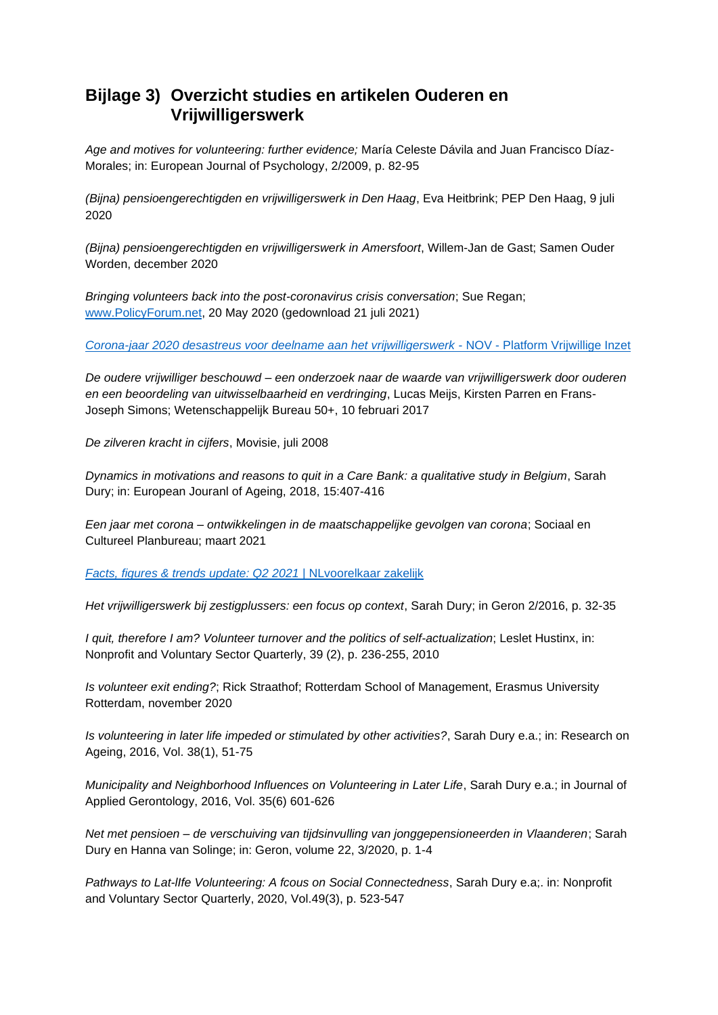## **Bijlage 3) Overzicht studies en artikelen Ouderen en Vrijwilligerswerk**

*Age and motives for volunteering: further evidence;* María Celeste Dávila and Juan Francisco Díaz-Morales; in: European Journal of Psychology, 2/2009, p. 82-95

*(Bijna) pensioengerechtigden en vrijwilligerswerk in Den Haag*, Eva Heitbrink; PEP Den Haag, 9 juli 2020

*(Bijna) pensioengerechtigden en vrijwilligerswerk in Amersfoort*, Willem-Jan de Gast; Samen Ouder Worden, december 2020

*Bringing volunteers back into the post-coronavirus crisis conversation*; Sue Regan; [www.PolicyForum.net,](http://www.policyforum.net/) 20 May 2020 (gedownload 21 juli 2021)

*[Corona-jaar 2020 desastreus voor deelname aan het vrijwilligerswerk](https://www.vrijwilligerswerk.nl/nieuws+en+blogs/1972420.aspx?t=Corona-jaar-2020-desastreus-voor-deelname-aan-het-vrijwilligerswerk)* - NOV - Platform Vrijwillige Inzet

*De oudere vrijwilliger beschouwd – een onderzoek naar de waarde van vrijwilligerswerk door ouderen en een beoordeling van uitwisselbaarheid en verdringing*, Lucas Meijs, Kirsten Parren en Frans-Joseph Simons; Wetenschappelijk Bureau 50+, 10 februari 2017

*De zilveren kracht in cijfers*, Movisie, juli 2008

*Dynamics in motivations and reasons to quit in a Care Bank: a qualitative study in Belgium*, Sarah Dury; in: European Jouranl of Ageing, 2018, 15:407-416

*Een jaar met corona – ontwikkelingen in de maatschappelijke gevolgen van corona*; Sociaal en Cultureel Planbureau; maart 2021

*[Facts, figures & trends update: Q2 2021](https://zakelijk.nlvoorelkaar.nl/8149-trends-update-zomer-2021/?mc_cid=a4dc218391&mc_eid=d8689f0618)* | NLvoorelkaar zakelijk

*Het vrijwilligerswerk bij zestigplussers: een focus op context*, Sarah Dury; in Geron 2/2016, p. 32-35

*I quit, therefore I am? Volunteer turnover and the politics of self-actualization*; Leslet Hustinx, in: Nonprofit and Voluntary Sector Quarterly, 39 (2), p. 236-255, 2010

*Is volunteer exit ending?*; Rick Straathof; Rotterdam School of Management, Erasmus University Rotterdam, november 2020

*Is volunteering in later life impeded or stimulated by other activities?*, Sarah Dury e.a.; in: Research on Ageing, 2016, Vol. 38(1), 51-75

*Municipality and Neighborhood Influences on Volunteering in Later Life*, Sarah Dury e.a.; in Journal of Applied Gerontology, 2016, Vol. 35(6) 601-626

*Net met pensioen – de verschuiving van tijdsinvulling van jonggepensioneerden in Vlaanderen*; Sarah Dury en Hanna van Solinge; in: Geron, volume 22, 3/2020, p. 1-4

*Pathways to Lat-lIfe Volunteering: A fcous on Social Connectedness*, Sarah Dury e.a;. in: Nonprofit and Voluntary Sector Quarterly, 2020, Vol.49(3), p. 523-547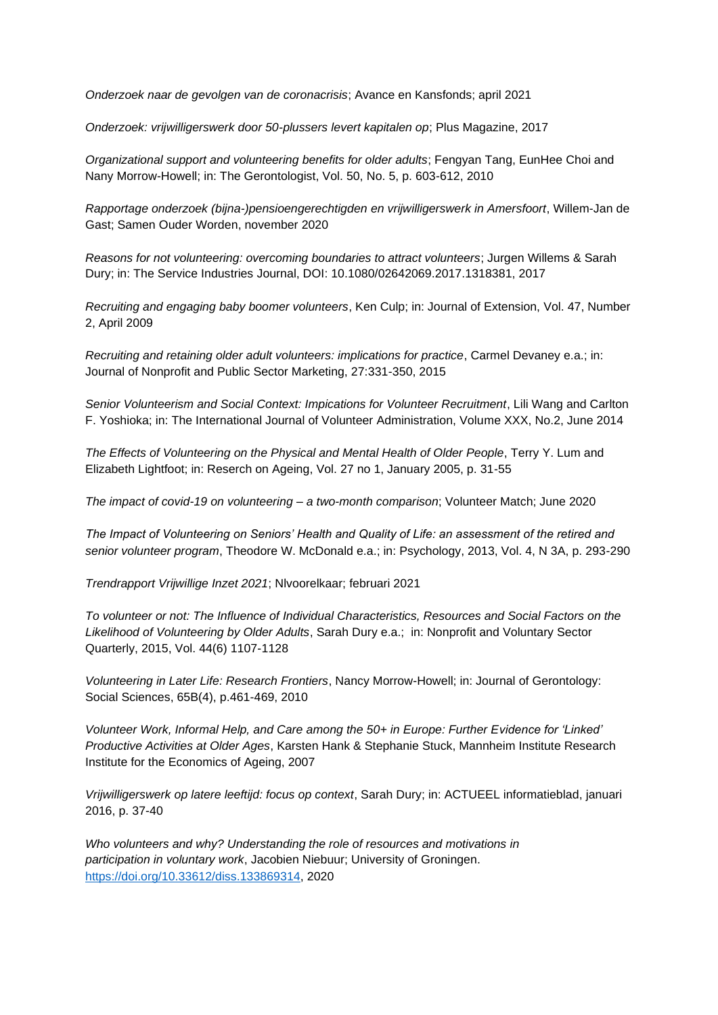*Onderzoek naar de gevolgen van de coronacrisis*; Avance en Kansfonds; april 2021

*Onderzoek: vrijwilligerswerk door 50-plussers levert kapitalen op*; Plus Magazine, 2017

*Organizational support and volunteering benefits for older adults*; Fengyan Tang, EunHee Choi and Nany Morrow-Howell; in: The Gerontologist, Vol. 50, No. 5, p. 603-612, 2010

*Rapportage onderzoek (bijna-)pensioengerechtigden en vrijwilligerswerk in Amersfoort*, Willem-Jan de Gast; Samen Ouder Worden, november 2020

*Reasons for not volunteering: overcoming boundaries to attract volunteers*; Jurgen Willems & Sarah Dury; in: The Service Industries Journal, DOI: 10.1080/02642069.2017.1318381, 2017

*Recruiting and engaging baby boomer volunteers*, Ken Culp; in: Journal of Extension, Vol. 47, Number 2, April 2009

*Recruiting and retaining older adult volunteers: implications for practice*, Carmel Devaney e.a.; in: Journal of Nonprofit and Public Sector Marketing, 27:331-350, 2015

*Senior Volunteerism and Social Context: Impications for Volunteer Recruitment*, Lili Wang and Carlton F. Yoshioka; in: The International Journal of Volunteer Administration, Volume XXX, No.2, June 2014

*The Effects of Volunteering on the Physical and Mental Health of Older People*, Terry Y. Lum and Elizabeth Lightfoot; in: Reserch on Ageing, Vol. 27 no 1, January 2005, p. 31-55

*The impact of covid-19 on volunteering – a two-month comparison*; Volunteer Match; June 2020

*The Impact of Volunteering on Seniors' Health and Quality of Life: an assessment of the retired and senior volunteer program*, Theodore W. McDonald e.a.; in: Psychology, 2013, Vol. 4, N 3A, p. 293-290

*Trendrapport Vrijwillige Inzet 2021*; Nlvoorelkaar; februari 2021

*To volunteer or not: The Influence of Individual Characteristics, Resources and Social Factors on the Likelihood of Volunteering by Older Adults*, Sarah Dury e.a.; in: Nonprofit and Voluntary Sector Quarterly, 2015, Vol. 44(6) 1107-1128

*Volunteering in Later Life: Research Frontiers*, Nancy Morrow-Howell; in: Journal of Gerontology: Social Sciences, 65B(4), p.461-469, 2010

*Volunteer Work, Informal Help, and Care among the 50+ in Europe: Further Evidence for 'Linked' Productive Activities at Older Ages*, Karsten Hank & Stephanie Stuck, Mannheim Institute Research Institute for the Economics of Ageing, 2007

*Vrijwilligerswerk op latere leeftijd: focus op context*, Sarah Dury; in: ACTUEEL informatieblad, januari 2016, p. 37-40

*Who volunteers and why? Understanding the role of resources and motivations in participation in voluntary work*, Jacobien Niebuur; University of Groningen. [https://doi.org/10.33612/diss.133869314,](https://doi.org/10.33612/diss.133869314) 2020